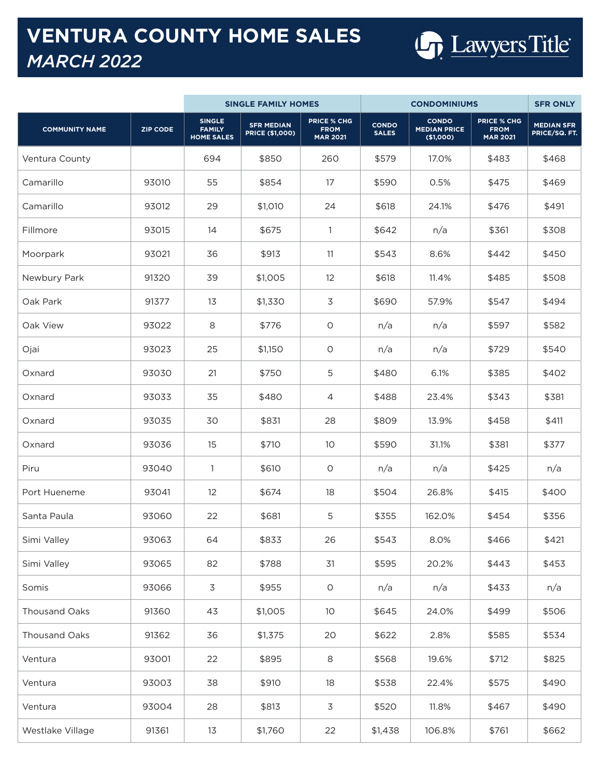## **VENTURA COUNTY HOME SALES** *MARCH 2022*



|                       |                 | <b>SINGLE FAMILY HOMES</b>                          |                                             |                                                      | <b>CONDOMINIUMS</b>          |                                                  |                                                      | <b>SFR ONLY</b>                    |
|-----------------------|-----------------|-----------------------------------------------------|---------------------------------------------|------------------------------------------------------|------------------------------|--------------------------------------------------|------------------------------------------------------|------------------------------------|
| <b>COMMUNITY NAME</b> | <b>ZIP CODE</b> | <b>SINGLE</b><br><b>FAMILY</b><br><b>HOME SALES</b> | <b>SFR MEDIAN</b><br><b>PRICE (\$1,000)</b> | <b>PRICE % CHG</b><br><b>FROM</b><br><b>MAR 2021</b> | <b>CONDO</b><br><b>SALES</b> | <b>CONDO</b><br><b>MEDIAN PRICE</b><br>(\$1,000) | <b>PRICE % CHG</b><br><b>FROM</b><br><b>MAR 2021</b> | <b>MEDIAN SFR</b><br>PRICE/SQ. FT. |
| Ventura County        |                 | 694                                                 | \$850                                       | 260                                                  | \$579                        | 17.0%                                            | \$483                                                | \$468                              |
| Camarillo             | 93010           | 55                                                  | \$854                                       | 17                                                   | \$590                        | 0.5%                                             | \$475                                                | \$469                              |
| Camarillo             | 93012           | 29                                                  | \$1,010                                     | 24                                                   | \$618                        | 24.1%                                            | \$476                                                | \$491                              |
| Fillmore              | 93015           | 14                                                  | \$675                                       | $\mathbf{1}$                                         | \$642                        | n/a                                              | \$361                                                | \$308                              |
| Moorpark              | 93021           | 36                                                  | \$913                                       | 11                                                   | \$543                        | 8.6%                                             | \$442                                                | \$450                              |
| Newbury Park          | 91320           | 39                                                  | \$1,005                                     | 12                                                   | \$618                        | 11.4%                                            | \$485                                                | \$508                              |
| Oak Park              | 91377           | 13                                                  | \$1,330                                     | 3                                                    | \$690                        | 57.9%                                            | \$547                                                | \$494                              |
| Oak View              | 93022           | 8                                                   | \$776                                       | $\circ$                                              | n/a                          | n/a                                              | \$597                                                | \$582                              |
| Ojai                  | 93023           | 25                                                  | \$1,150                                     | $\circ$                                              | n/a                          | n/a                                              | \$729                                                | \$540                              |
| Oxnard                | 93030           | 21                                                  | \$750                                       | 5                                                    | \$480                        | 6.1%                                             | \$385                                                | \$402                              |
| Oxnard                | 93033           | 35                                                  | \$480                                       | 4                                                    | \$488                        | 23.4%                                            | \$343                                                | \$381                              |
| Oxnard                | 93035           | 30                                                  | \$831                                       | 28                                                   | \$809                        | 13.9%                                            | \$458                                                | \$411                              |
| Oxnard                | 93036           | 15                                                  | \$710                                       | 10 <sup>°</sup>                                      | \$590                        | 31.1%                                            | \$381                                                | \$377                              |
| Piru                  | 93040           | $\mathbf{1}$                                        | \$610                                       | $\circ$                                              | n/a                          | n/a                                              | \$425                                                | n/a                                |
| Port Hueneme          | 93041           | 12                                                  | \$674                                       | 18                                                   | \$504                        | 26.8%                                            | \$415                                                | \$400                              |
| Santa Paula           | 93060           | 22                                                  | \$681                                       | 5                                                    | \$355                        | 162.0%                                           | \$454                                                | \$356                              |
| Simi Valley           | 93063           | 64                                                  | \$833                                       | 26                                                   | \$543                        | 8.0%                                             | \$466                                                | \$421                              |
| Simi Valley           | 93065           | 82                                                  | \$788                                       | 31                                                   | \$595                        | 20.2%                                            | \$443                                                | \$453                              |
| Somis                 | 93066           | 3                                                   | \$955                                       | $\circ$                                              | n/a                          | n/a                                              | \$433                                                | n/a                                |
| Thousand Oaks         | 91360           | 43                                                  | \$1,005                                     | 10 <sup>°</sup>                                      | \$645                        | 24.0%                                            | \$499                                                | \$506                              |
| Thousand Oaks         | 91362           | 36                                                  | \$1,375                                     | 20                                                   | \$622                        | 2.8%                                             | \$585                                                | \$534                              |
| Ventura               | 93001           | 22                                                  | \$895                                       | 8                                                    | \$568                        | 19.6%                                            | \$712                                                | \$825                              |
| Ventura               | 93003           | 38                                                  | \$910                                       | 18                                                   | \$538                        | 22.4%                                            | \$575                                                | \$490                              |
| Ventura               | 93004           | 28                                                  | \$813                                       | 3                                                    | \$520                        | 11.8%                                            | \$467                                                | \$490                              |
| Westlake Village      | 91361           | 13                                                  | \$1,760                                     | 22                                                   | \$1,438                      | 106.8%                                           | \$761                                                | \$662                              |